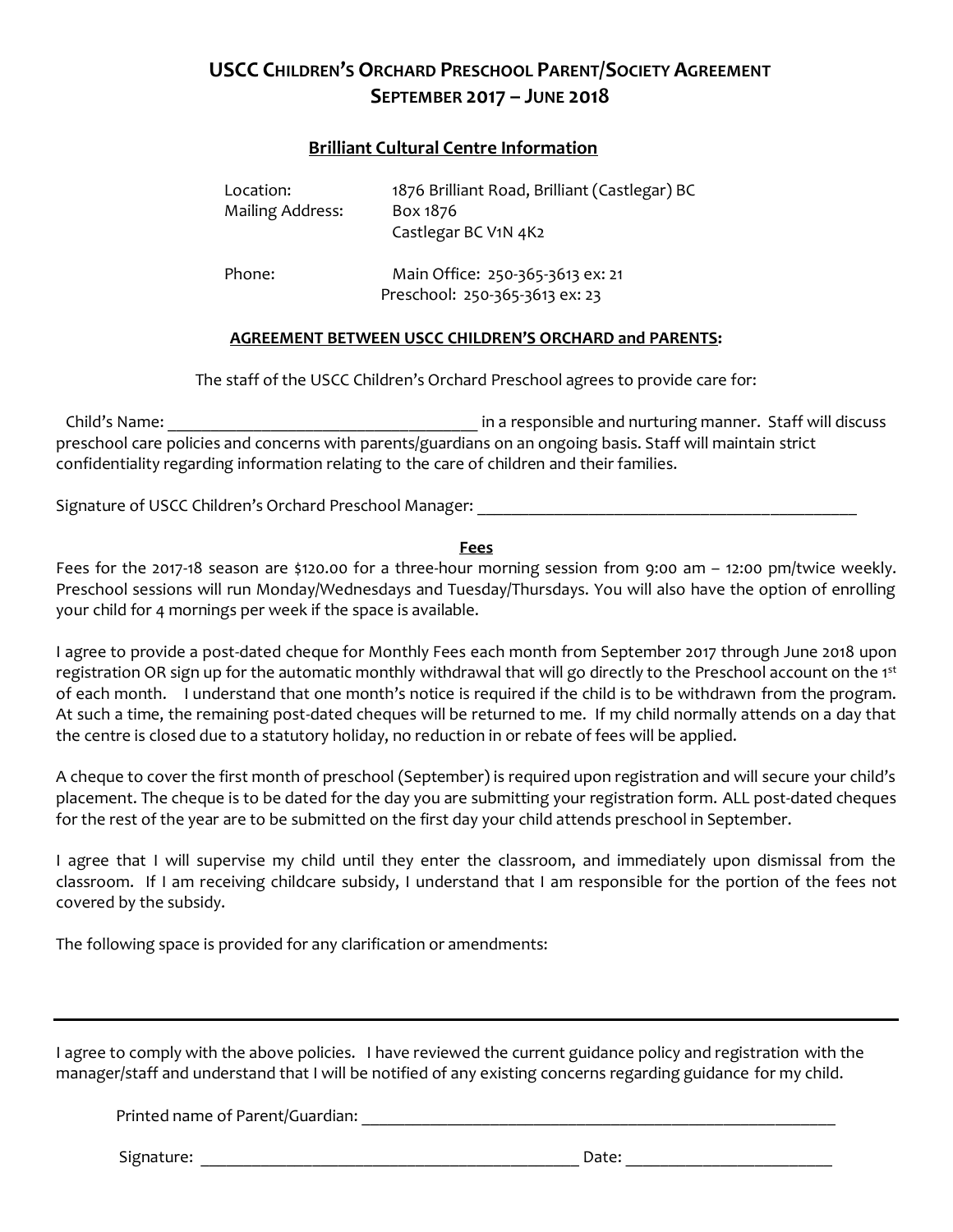# **USCC CHILDREN'S ORCHARD PRESCHOOL PARENT/SOCIETY AGREEMENT SEPTEMBER 2017 – JUNE 2018**

## **Brilliant Cultural Centre Information**

| Location:<br><b>Mailing Address:</b> | 1876 Brilliant Road, Brilliant (Castlegar) BC<br>Box 1876<br>Castlegar BC V1N 4K2 |
|--------------------------------------|-----------------------------------------------------------------------------------|
| Phone:                               | Main Office: 250-365-3613 ex: 21<br>Preschool: 250-365-3613 ex: 23                |

### **AGREEMENT BETWEEN USCC CHILDREN'S ORCHARD and PARENTS:**

The staff of the USCC Children's Orchard Preschool agrees to provide care for:

Child's Name: \_\_\_\_\_\_\_\_\_\_\_\_\_\_\_\_\_\_\_\_\_\_\_\_\_\_\_\_\_\_\_\_\_\_\_\_ in a responsible and nurturing manner. Staff will discuss preschool care policies and concerns with parents/guardians on an ongoing basis. Staff will maintain strict confidentiality regarding information relating to the care of children and their families.

Signature of USCC Children's Orchard Preschool Manager: \_\_\_\_\_\_\_\_\_\_\_\_\_\_\_\_\_\_\_\_\_\_\_\_\_

#### **Fees**

Fees for the 2017-18 season are \$120.00 for a three-hour morning session from 9:00 am – 12:00 pm/twice weekly. Preschool sessions will run Monday/Wednesdays and Tuesday/Thursdays. You will also have the option of enrolling your child for 4 mornings per week if the space is available.

I agree to provide a post-dated cheque for Monthly Fees each month from September 2017 through June 2018 upon registration OR sign up for the automatic monthly withdrawal that will go directly to the Preschool account on the 1st of each month. I understand that one month's notice is required if the child is to be withdrawn from the program. At such a time, the remaining post-dated cheques will be returned to me. If my child normally attends on a day that the centre is closed due to a statutory holiday, no reduction in or rebate of fees will be applied.

A cheque to cover the first month of preschool (September) is required upon registration and will secure your child's placement. The cheque is to be dated for the day you are submitting your registration form. ALL post-dated cheques for the rest of the year are to be submitted on the first day your child attends preschool in September.

I agree that I will supervise my child until they enter the classroom, and immediately upon dismissal from the classroom. If I am receiving childcare subsidy, I understand that I am responsible for the portion of the fees not covered by the subsidy.

The following space is provided for any clarification or amendments:

I agree to comply with the above policies. I have reviewed the current guidance policy and registration with the manager/staff and understand that I will be notified of any existing concerns regarding guidance for my child.

Printed name of Parent/Guardian: \_\_\_\_\_\_\_\_\_\_\_\_\_\_\_\_\_\_\_\_\_\_\_\_\_\_\_\_\_\_\_\_\_\_\_\_\_\_\_\_\_\_\_\_\_\_\_\_\_\_\_\_\_\_\_

Signature: \_\_\_\_\_\_\_\_\_\_\_\_\_\_\_\_\_\_\_\_\_\_\_\_\_\_\_\_\_\_\_\_\_\_\_\_\_\_\_\_\_\_\_\_ Date: \_\_\_\_\_\_\_\_\_\_\_\_\_\_\_\_\_\_\_\_\_\_\_\_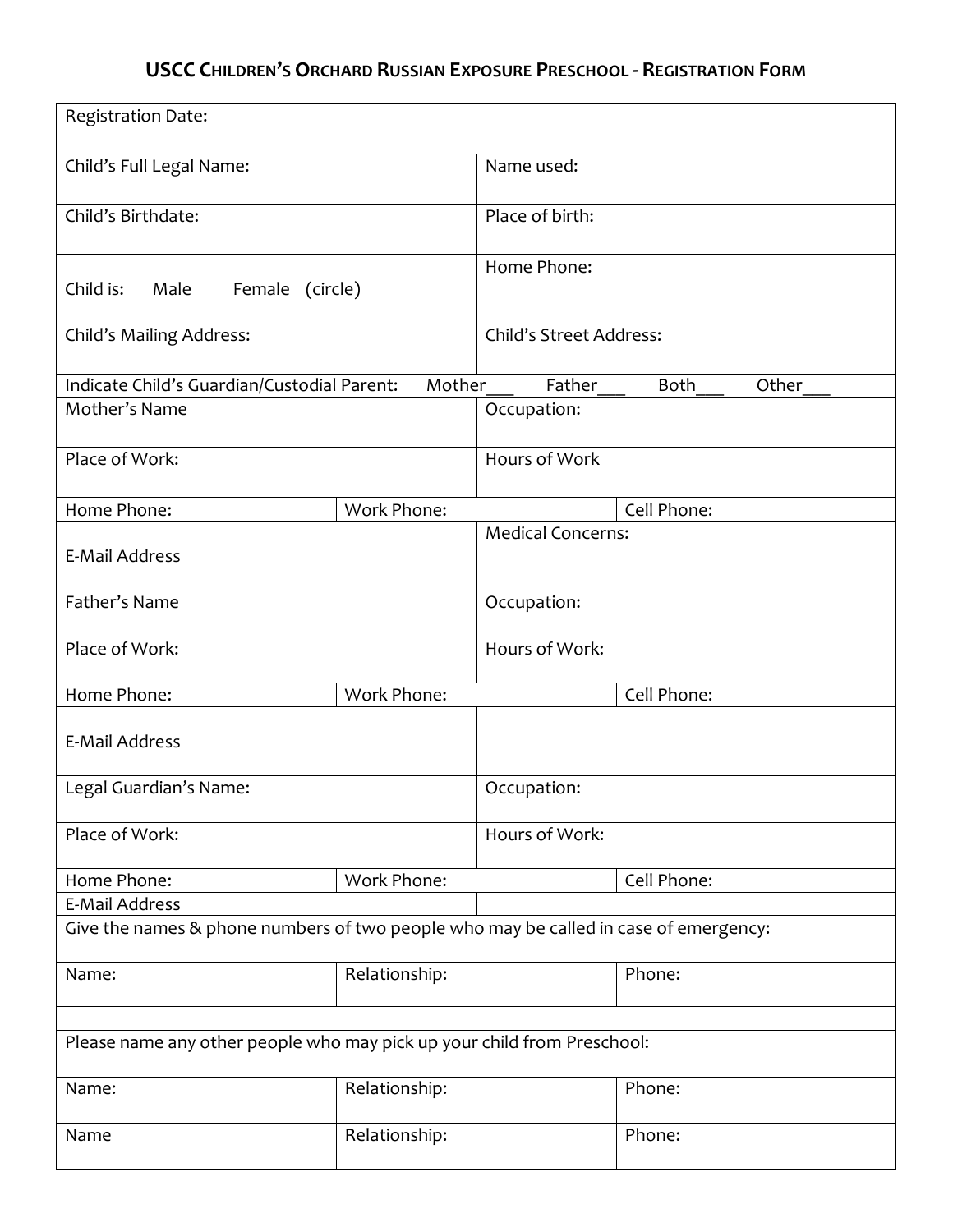# **USCC CHILDREN'S ORCHARD RUSSIAN EXPOSURE PRESCHOOL - REGISTRATION FORM**

| Registration Date:                                                                   |               |                          |                      |  |
|--------------------------------------------------------------------------------------|---------------|--------------------------|----------------------|--|
| Child's Full Legal Name:                                                             |               | Name used:               |                      |  |
| Child's Birthdate:                                                                   |               | Place of birth:          |                      |  |
| Child is:<br>Male<br>Female (circle)                                                 |               | Home Phone:              |                      |  |
| Child's Mailing Address:                                                             |               | Child's Street Address:  |                      |  |
| Indicate Child's Guardian/Custodial Parent:                                          | Mother        | Father                   | Other<br><b>Both</b> |  |
| Mother's Name                                                                        |               | Occupation:              |                      |  |
| Place of Work:                                                                       |               | Hours of Work            |                      |  |
| Home Phone:                                                                          | Work Phone:   |                          | Cell Phone:          |  |
| <b>E-Mail Address</b>                                                                |               | <b>Medical Concerns:</b> |                      |  |
| Father's Name                                                                        |               | Occupation:              |                      |  |
| Place of Work:                                                                       |               | Hours of Work:           |                      |  |
| Home Phone:                                                                          | Work Phone:   |                          | Cell Phone:          |  |
| <b>E-Mail Address</b>                                                                |               |                          |                      |  |
| Legal Guardian's Name:                                                               |               | Occupation:              |                      |  |
| Place of Work:                                                                       |               | Hours of Work:           |                      |  |
| Home Phone:                                                                          | Work Phone:   |                          | Cell Phone:          |  |
| <b>E-Mail Address</b>                                                                |               |                          |                      |  |
| Give the names & phone numbers of two people who may be called in case of emergency: |               |                          |                      |  |
| Name:                                                                                | Relationship: |                          | Phone:               |  |
|                                                                                      |               |                          |                      |  |
| Please name any other people who may pick up your child from Preschool:              |               |                          |                      |  |
| Name:                                                                                | Relationship: |                          | Phone:               |  |
| Name                                                                                 | Relationship: |                          | Phone:               |  |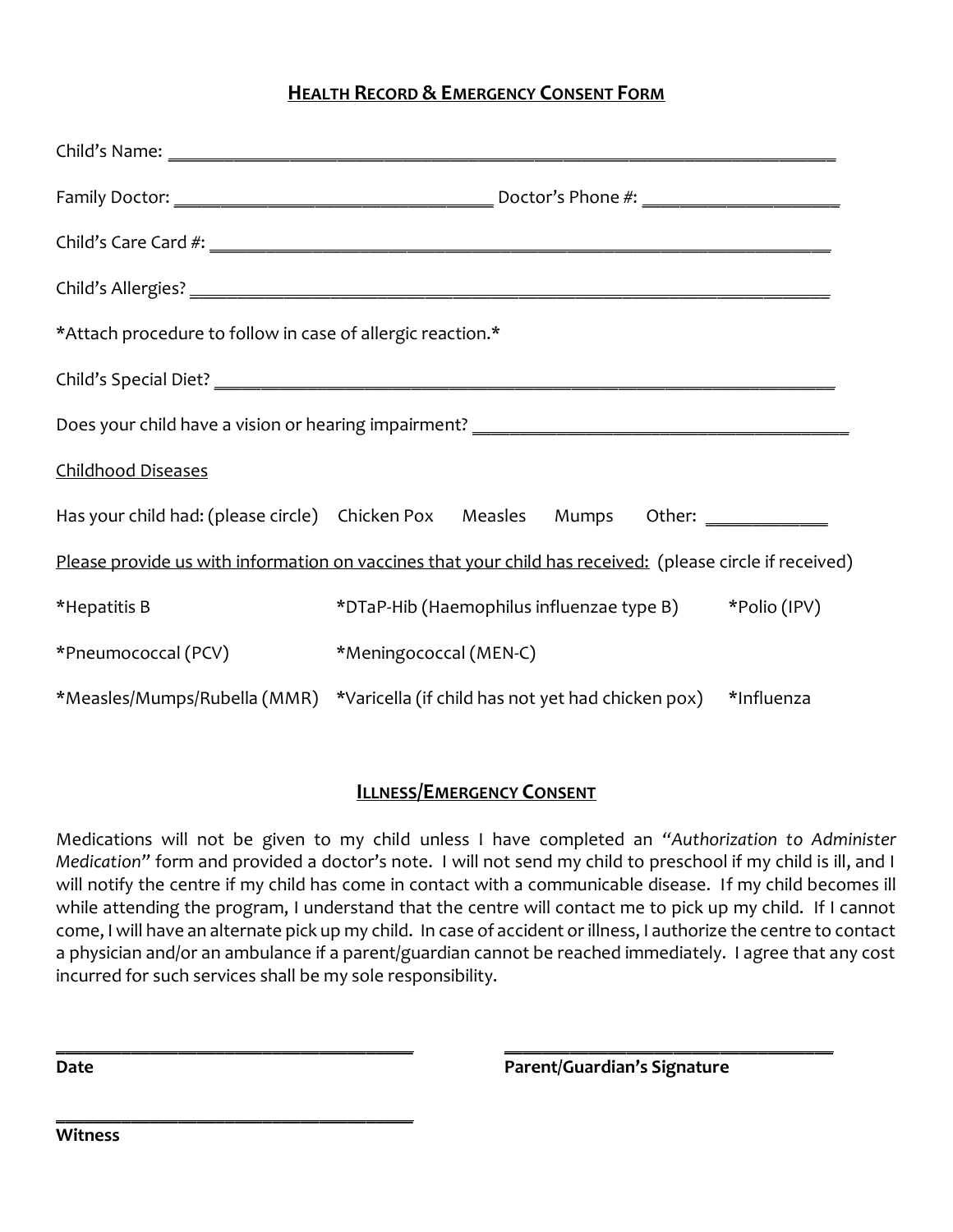# **HEALTH RECORD & EMERGENCY CONSENT FORM**

| *Attach procedure to follow in case of allergic reaction.*                                               |                                                                                           |  |  |  |  |
|----------------------------------------------------------------------------------------------------------|-------------------------------------------------------------------------------------------|--|--|--|--|
|                                                                                                          |                                                                                           |  |  |  |  |
|                                                                                                          |                                                                                           |  |  |  |  |
| <b>Childhood Diseases</b>                                                                                |                                                                                           |  |  |  |  |
|                                                                                                          | Has your child had: (please circle) Chicken Pox Measles Mumps Other: ___________          |  |  |  |  |
| Please provide us with information on vaccines that your child has received: (please circle if received) |                                                                                           |  |  |  |  |
| *Hepatitis B                                                                                             | *DTaP-Hib (Haemophilus influenzae type B) *Polio (IPV)                                    |  |  |  |  |
| *Pneumococcal (PCV)                                                                                      | *Meningococcal (MEN-C)                                                                    |  |  |  |  |
|                                                                                                          | *Measles/Mumps/Rubella (MMR) *Varicella (if child has not yet had chicken pox) *Influenza |  |  |  |  |

## **ILLNESS/EMERGENCY CONSENT**

Medications will not be given to my child unless I have completed an *"Authorization to Administer Medication"* form and provided a doctor's note. I will not send my child to preschool if my child is ill, and I will notify the centre if my child has come in contact with a communicable disease. If my child becomes ill while attending the program, I understand that the centre will contact me to pick up my child. If I cannot come, I will have an alternate pick up my child. In case of accident or illness, I authorize the centre to contact a physician and/or an ambulance if a parent/guardian cannot be reached immediately. I agree that any cost incurred for such services shall be my sole responsibility.

**\_\_\_\_\_\_\_\_\_\_\_\_\_\_\_\_\_\_\_\_\_\_\_\_\_\_\_\_\_\_\_\_\_\_\_\_\_\_ \_\_\_\_\_\_\_\_\_\_\_\_\_\_\_\_\_\_\_\_\_\_\_\_\_\_\_\_\_\_\_\_\_\_\_ Date Parent/Guardian's Signature**

**Witness**

**\_\_\_\_\_\_\_\_\_\_\_\_\_\_\_\_\_\_\_\_\_\_\_\_\_\_\_\_\_\_\_\_\_\_\_\_\_\_**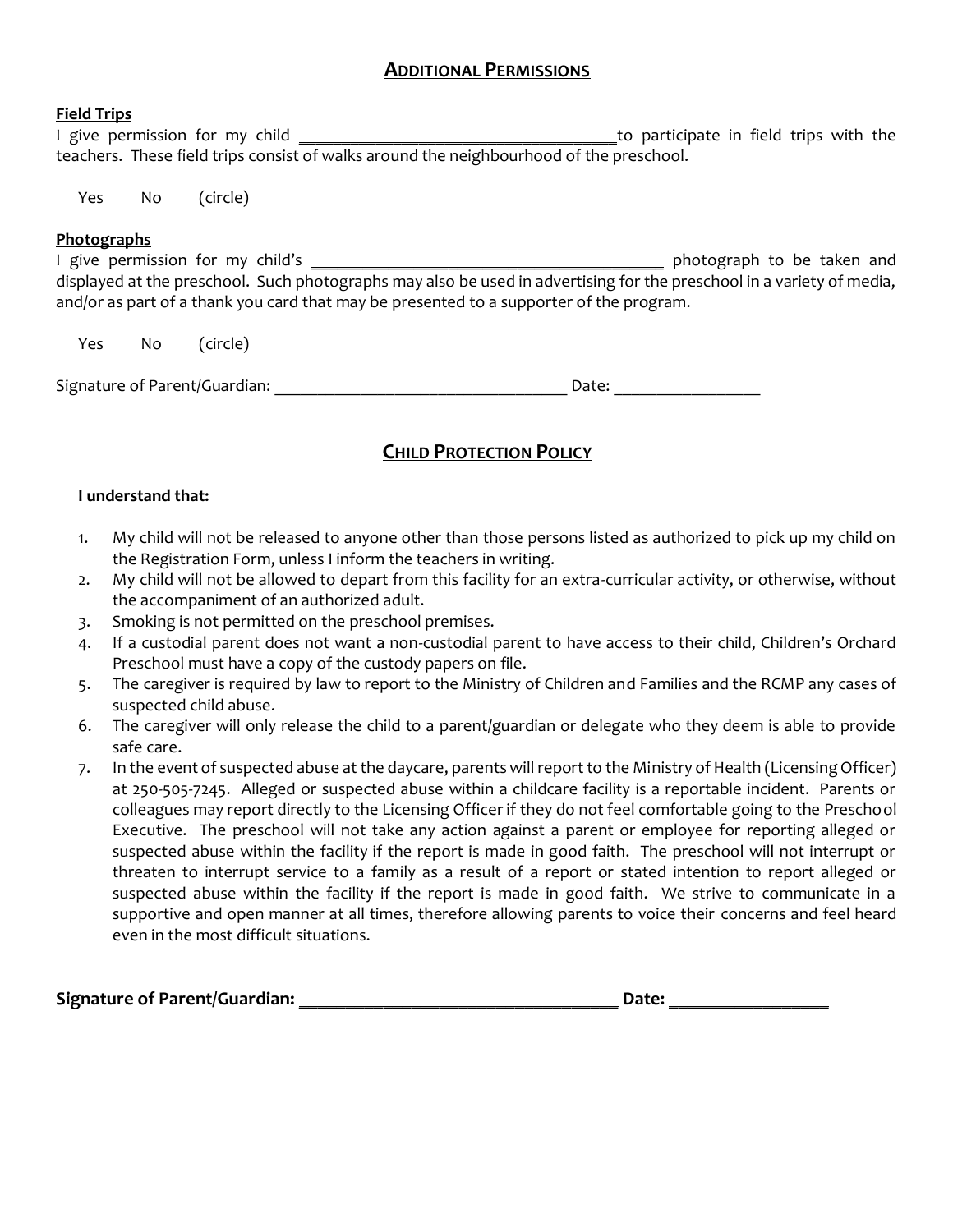## **ADDITIONAL PERMISSIONS**

#### **Field Trips**

I give permission for my child \_\_\_\_\_\_\_\_\_\_\_\_\_\_\_\_\_\_\_\_\_\_\_\_\_\_\_\_\_\_\_\_\_\_\_\_\_to participate in field trips with the teachers. These field trips consist of walks around the neighbourhood of the preschool.

Yes No (circle)

#### **Photographs**

I give permission for my child's \_\_\_\_\_\_\_\_\_\_\_\_\_\_\_\_\_\_\_\_\_\_\_\_\_\_\_\_\_\_\_\_\_\_\_\_\_\_\_\_\_ photograph to be taken and displayed at the preschool. Such photographs may also be used in advertising for the preschool in a variety of media, and/or as part of a thank you card that may be presented to a supporter of the program.

Yes No (circle)

Signature of Parent/Guardian: \_\_\_\_\_\_\_\_\_\_\_\_\_\_\_\_\_\_\_\_\_\_\_\_\_\_\_\_\_\_\_\_\_\_ Date: \_\_\_\_\_\_\_\_\_\_\_\_\_\_\_\_\_

# **CHILD PROTECTION POLICY**

### **I understand that:**

- 1. My child will not be released to anyone other than those persons listed as authorized to pick up my child on the Registration Form, unless I inform the teachers in writing.
- 2. My child will not be allowed to depart from this facility for an extra-curricular activity, or otherwise, without the accompaniment of an authorized adult.
- 3. Smoking is not permitted on the preschool premises.
- 4. If a custodial parent does not want a non-custodial parent to have access to their child, Children's Orchard Preschool must have a copy of the custody papers on file.
- 5. The caregiver is required by law to report to the Ministry of Children and Families and the RCMP any cases of suspected child abuse.
- 6. The caregiver will only release the child to a parent/guardian or delegate who they deem is able to provide safe care.
- 7. In the event of suspected abuse at the daycare, parents will report to the Ministry of Health (Licensing Officer) at 250-505-7245. Alleged or suspected abuse within a childcare facility is a reportable incident. Parents or colleagues may report directly to the Licensing Officer if they do not feel comfortable going to the Preschool Executive. The preschool will not take any action against a parent or employee for reporting alleged or suspected abuse within the facility if the report is made in good faith. The preschool will not interrupt or threaten to interrupt service to a family as a result of a report or stated intention to report alleged or suspected abuse within the facility if the report is made in good faith. We strive to communicate in a supportive and open manner at all times, therefore allowing parents to voice their concerns and feel heard even in the most difficult situations.

**Signature of Parent/Guardian: \_\_\_\_\_\_\_\_\_\_\_\_\_\_\_\_\_\_\_\_\_\_\_\_\_\_\_\_\_\_\_\_\_\_ Date: \_\_\_\_\_\_\_\_\_\_\_\_\_\_\_\_\_**